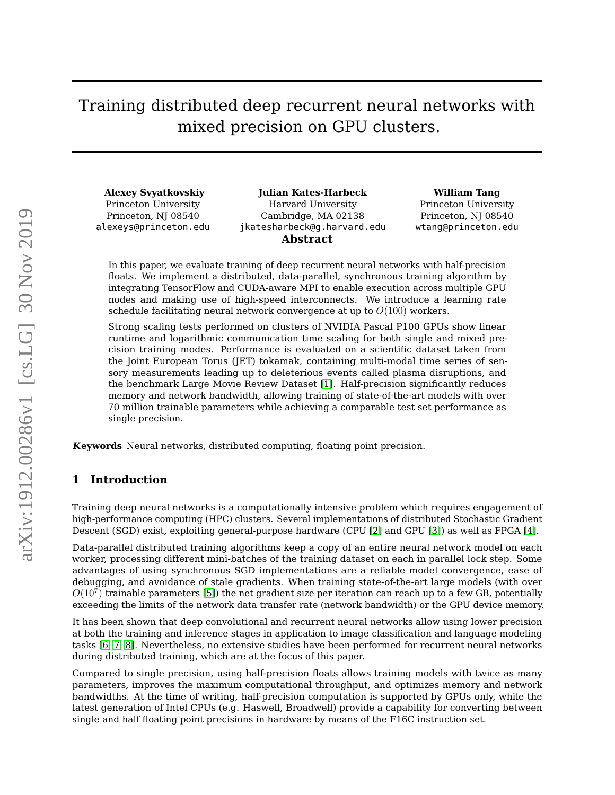# Training distributed deep recurrent neural networks with mixed precision on GPU clusters.

**Alexey Svyatkovskiy** Princeton University Princeton, NJ 08540 alexeys@princeton.edu

**Julian Kates-Harbeck** Harvard University Cambridge, MA 02138 jkatesharbeck@g.harvard.edu **Abstract**

**William Tang**

Princeton University Princeton, NJ 08540 wtang@princeton.edu

In this paper, we evaluate training of deep recurrent neural networks with half-precision floats. We implement a distributed, data-parallel, synchronous training algorithm by integrating TensorFlow and CUDA-aware MPI to enable execution across multiple GPU nodes and making use of high-speed interconnects. We introduce a learning rate schedule facilitating neural network convergence at up to  $O(100)$  workers.

Strong scaling tests performed on clusters of NVIDIA Pascal P100 GPUs show linear runtime and logarithmic communication time scaling for both single and mixed precision training modes. Performance is evaluated on a scientific dataset taken from the Joint European Torus (JET) tokamak, containing multi-modal time series of sensory measurements leading up to deleterious events called plasma disruptions, and the benchmark Large Movie Review Dataset [\[1\]](#page-9-0). Half-precision significantly reduces memory and network bandwidth, allowing training of state-of-the-art models with over 70 million trainable parameters while achieving a comparable test set performance as single precision.

**Keywords** Neural networks, distributed computing, floating point precision.

# **1 Introduction**

Training deep neural networks is a computationally intensive problem which requires engagement of high-performance computing (HPC) clusters. Several implementations of distributed Stochastic Gradient Descent (SGD) exist, exploiting general-purpose hardware (CPU [\[2\]](#page-10-0) and GPU [\[3\]](#page-10-1)) as well as FPGA [\[4\]](#page-10-2).

Data-parallel distributed training algorithms keep a copy of an entire neural network model on each worker, processing different mini-batches of the training dataset on each in parallel lock step. Some advantages of using synchronous SGD implementations are a reliable model convergence, ease of debugging, and avoidance of stale gradients. When training state-of-the-art large models (with over  $O(10^7)$  trainable parameters [\[5\]](#page-10-3)) the net gradient size per iteration can reach up to a few GB, potentially exceeding the limits of the network data transfer rate (network bandwidth) or the GPU device memory.

It has been shown that deep convolutional and recurrent neural networks allow using lower precision at both the training and inference stages in application to image classification and language modeling tasks [\[6,](#page-10-4) [7,](#page-10-5) [8\]](#page-10-6). Nevertheless, no extensive studies have been performed for recurrent neural networks during distributed training, which are at the focus of this paper.

Compared to single precision, using half-precision floats allows training models with twice as many parameters, improves the maximum computational throughput, and optimizes memory and network bandwidths. At the time of writing, half-precision computation is supported by GPUs only, while the latest generation of Intel CPUs (e.g. Haswell, Broadwell) provide a capability for converting between single and half floating point precisions in hardware by means of the F16C instruction set.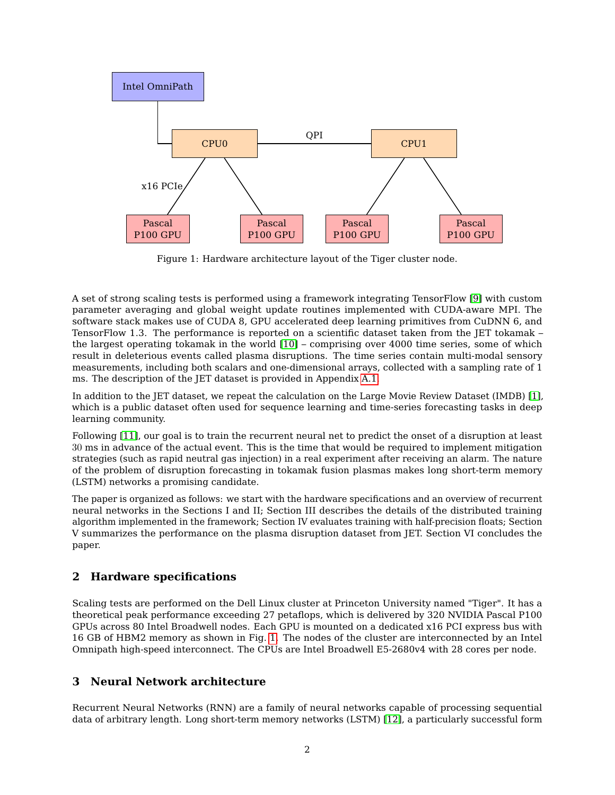

<span id="page-1-0"></span>Figure 1: Hardware architecture layout of the Tiger cluster node.

A set of strong scaling tests is performed using a framework integrating TensorFlow [\[9\]](#page-10-7) with custom parameter averaging and global weight update routines implemented with CUDA-aware MPI. The software stack makes use of CUDA 8, GPU accelerated deep learning primitives from CuDNN 6, and TensorFlow 1.3. The performance is reported on a scientific dataset taken from the JET tokamak – the largest operating tokamak in the world [\[10\]](#page-11-0) – comprising over 4000 time series, some of which result in deleterious events called plasma disruptions. The time series contain multi-modal sensory measurements, including both scalars and one-dimensional arrays, collected with a sampling rate of 1 ms. The description of the JET dataset is provided in Appendix [A.1.](#page-8-0)

In addition to the JET dataset, we repeat the calculation on the Large Movie Review Dataset (IMDB) [\[1\]](#page-9-0), which is a public dataset often used for sequence learning and time-series forecasting tasks in deep learning community.

Following [\[11\]](#page-11-1), our goal is to train the recurrent neural net to predict the onset of a disruption at least 30 ms in advance of the actual event. This is the time that would be required to implement mitigation strategies (such as rapid neutral gas injection) in a real experiment after receiving an alarm. The nature of the problem of disruption forecasting in tokamak fusion plasmas makes long short-term memory (LSTM) networks a promising candidate.

The paper is organized as follows: we start with the hardware specifications and an overview of recurrent neural networks in the Sections I and II; Section III describes the details of the distributed training algorithm implemented in the framework; Section IV evaluates training with half-precision floats; Section V summarizes the performance on the plasma disruption dataset from JET. Section VI concludes the paper.

# **2 Hardware specifications**

Scaling tests are performed on the Dell Linux cluster at Princeton University named "Tiger". It has a theoretical peak performance exceeding 27 petaflops, which is delivered by 320 NVIDIA Pascal P100 GPUs across 80 Intel Broadwell nodes. Each GPU is mounted on a dedicated x16 PCI express bus with 16 GB of HBM2 memory as shown in Fig. [1.](#page-1-0) The nodes of the cluster are interconnected by an Intel Omnipath high-speed interconnect. The CPUs are Intel Broadwell E5-2680v4 with 28 cores per node.

# **3 Neural Network architecture**

Recurrent Neural Networks (RNN) are a family of neural networks capable of processing sequential data of arbitrary length. Long short-term memory networks (LSTM) [\[12\]](#page-11-2), a particularly successful form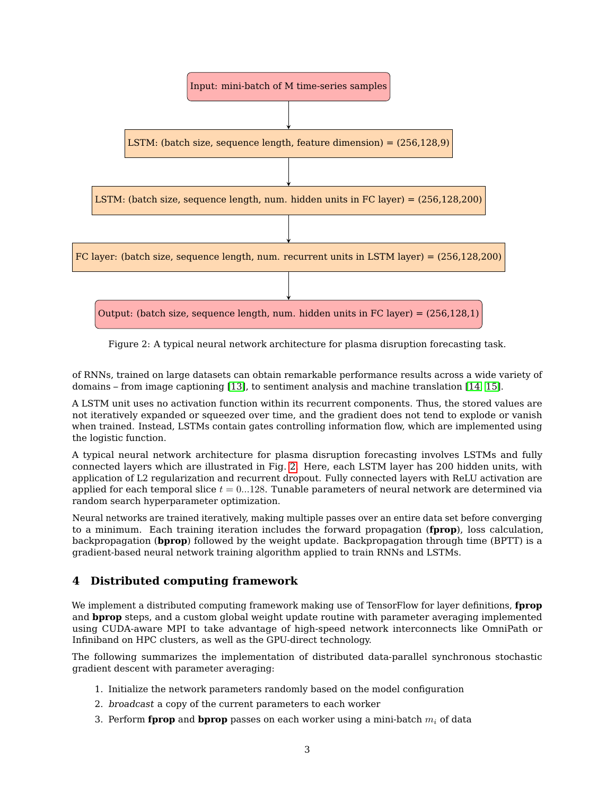

<span id="page-2-0"></span>Figure 2: A typical neural network architecture for plasma disruption forecasting task.

of RNNs, trained on large datasets can obtain remarkable performance results across a wide variety of domains – from image captioning [\[13\]](#page-11-3), to sentiment analysis and machine translation [\[14,](#page-11-4) [15\]](#page-11-5).

A LSTM unit uses no activation function within its recurrent components. Thus, the stored values are not iteratively expanded or squeezed over time, and the gradient does not tend to explode or vanish when trained. Instead, LSTMs contain gates controlling information flow, which are implemented using the logistic function.

A typical neural network architecture for plasma disruption forecasting involves LSTMs and fully connected layers which are illustrated in Fig. [2.](#page-2-0) Here, each LSTM layer has 200 hidden units, with application of L2 regularization and recurrent dropout. Fully connected layers with ReLU activation are applied for each temporal slice  $t = 0...128$ . Tunable parameters of neural network are determined via random search hyperparameter optimization.

Neural networks are trained iteratively, making multiple passes over an entire data set before converging to a minimum. Each training iteration includes the forward propagation (**fprop**), loss calculation, backpropagation (**bprop**) followed by the weight update. Backpropagation through time (BPTT) is a gradient-based neural network training algorithm applied to train RNNs and LSTMs.

# **4 Distributed computing framework**

We implement a distributed computing framework making use of TensorFlow for layer definitions, **fprop** and **bprop** steps, and a custom global weight update routine with parameter averaging implemented using CUDA-aware MPI to take advantage of high-speed network interconnects like OmniPath or Infiniband on HPC clusters, as well as the GPU-direct technology.

The following summarizes the implementation of distributed data-parallel synchronous stochastic gradient descent with parameter averaging:

- 1. Initialize the network parameters randomly based on the model configuration
- 2. broadcast a copy of the current parameters to each worker
- 3. Perform **fprop** and **bprop** passes on each worker using a mini-batch  $m_i$  of data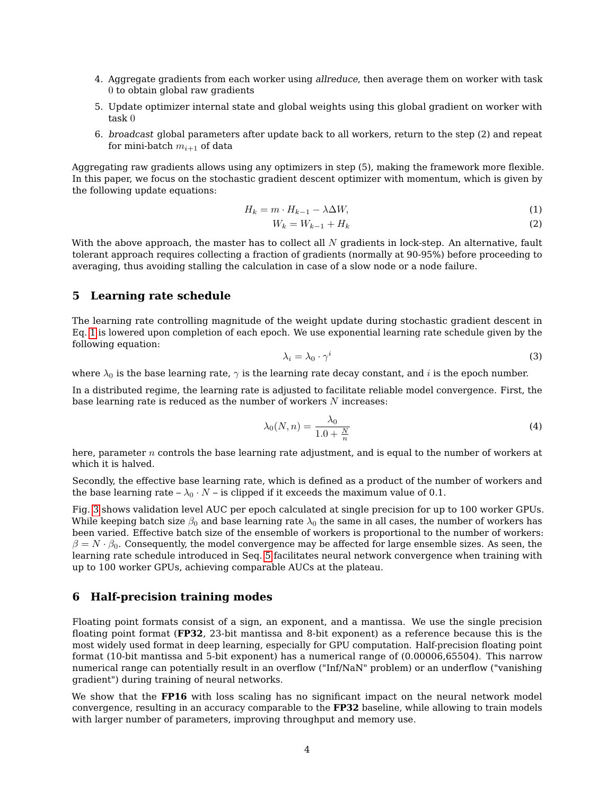- 4. Aggregate gradients from each worker using allreduce, then average them on worker with task 0 to obtain global raw gradients
- 5. Update optimizer internal state and global weights using this global gradient on worker with task 0
- 6. broadcast global parameters after update back to all workers, return to the step (2) and repeat for mini-batch  $m_{i+1}$  of data

Aggregating raw gradients allows using any optimizers in step (5), making the framework more flexible. In this paper, we focus on the stochastic gradient descent optimizer with momentum, which is given by the following update equations:

<span id="page-3-0"></span>
$$
H_k = m \cdot H_{k-1} - \lambda \Delta W,\tag{1}
$$

$$
W_k = W_{k-1} + H_k \tag{2}
$$

With the above approach, the master has to collect all  $N$  gradients in lock-step. An alternative, fault tolerant approach requires collecting a fraction of gradients (normally at 90-95%) before proceeding to averaging, thus avoiding stalling the calculation in case of a slow node or a node failure.

#### <span id="page-3-1"></span>**5 Learning rate schedule**

The learning rate controlling magnitude of the weight update during stochastic gradient descent in Eq. [1](#page-3-0) is lowered upon completion of each epoch. We use exponential learning rate schedule given by the following equation:

$$
\lambda_i = \lambda_0 \cdot \gamma^i \tag{3}
$$

where  $\lambda_0$  is the base learning rate,  $\gamma$  is the learning rate decay constant, and i is the epoch number.

In a distributed regime, the learning rate is adjusted to facilitate reliable model convergence. First, the base learning rate is reduced as the number of workers N increases:

$$
\lambda_0(N,n) = \frac{\lambda_0}{1.0 + \frac{N}{n}}\tag{4}
$$

here, parameter n controls the base learning rate adjustment, and is equal to the number of workers at which it is halved.

Secondly, the effective base learning rate, which is defined as a product of the number of workers and the base learning rate –  $\lambda_0 \cdot N$  – is clipped if it exceeds the maximum value of 0.1.

Fig. [3](#page-4-0) shows validation level AUC per epoch calculated at single precision for up to 100 worker GPUs. While keeping batch size  $\beta_0$  and base learning rate  $\lambda_0$  the same in all cases, the number of workers has been varied. Effective batch size of the ensemble of workers is proportional to the number of workers:  $\beta = N \cdot \beta_0$ . Consequently, the model convergence may be affected for large ensemble sizes. As seen, the learning rate schedule introduced in Seq. [5](#page-3-1) facilitates neural network convergence when training with up to 100 worker GPUs, achieving comparable AUCs at the plateau.

### **6 Half-precision training modes**

Floating point formats consist of a sign, an exponent, and a mantissa. We use the single precision floating point format (**FP32**, 23-bit mantissa and 8-bit exponent) as a reference because this is the most widely used format in deep learning, especially for GPU computation. Half-precision floating point format (10-bit mantissa and 5-bit exponent) has a numerical range of (0.00006,65504). This narrow numerical range can potentially result in an overflow ("Inf/NaN" problem) or an underflow ("vanishing gradient") during training of neural networks.

We show that the **FP16** with loss scaling has no significant impact on the neural network model convergence, resulting in an accuracy comparable to the **FP32** baseline, while allowing to train models with larger number of parameters, improving throughput and memory use.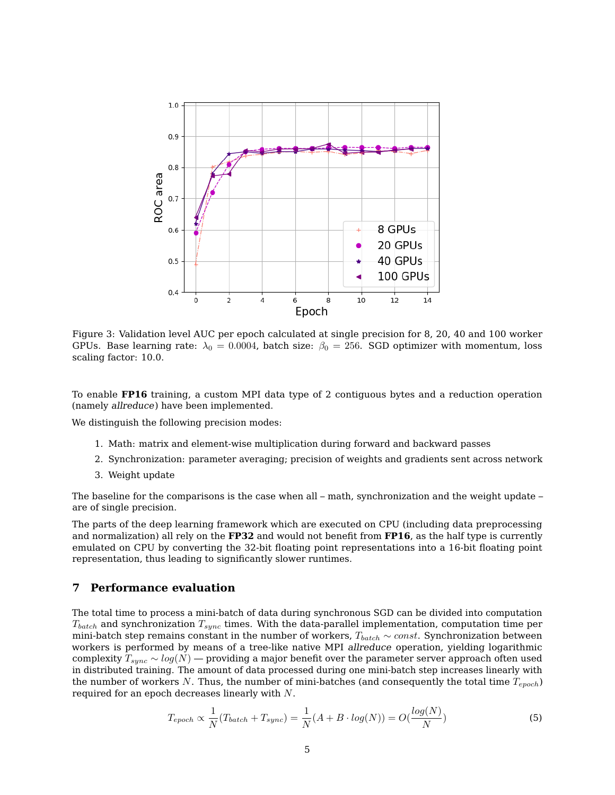

<span id="page-4-0"></span>Figure 3: Validation level AUC per epoch calculated at single precision for 8, 20, 40 and 100 worker GPUs. Base learning rate:  $\lambda_0 = 0.0004$ , batch size:  $\beta_0 = 256$ . SGD optimizer with momentum, loss scaling factor: 10.0.

To enable **FP16** training, a custom MPI data type of 2 contiguous bytes and a reduction operation (namely allreduce) have been implemented.

We distinguish the following precision modes:

- 1. Math: matrix and element-wise multiplication during forward and backward passes
- 2. Synchronization: parameter averaging; precision of weights and gradients sent across network
- 3. Weight update

The baseline for the comparisons is the case when all – math, synchronization and the weight update – are of single precision.

The parts of the deep learning framework which are executed on CPU (including data preprocessing and normalization) all rely on the **FP32** and would not benefit from **FP16**, as the half type is currently emulated on CPU by converting the 32-bit floating point representations into a 16-bit floating point representation, thus leading to significantly slower runtimes.

#### **7 Performance evaluation**

The total time to process a mini-batch of data during synchronous SGD can be divided into computation  $T_{batch}$  and synchronization  $T_{sync}$  times. With the data-parallel implementation, computation time per mini-batch step remains constant in the number of workers,  $T_{batch} \sim const.$  Synchronization between workers is performed by means of a tree-like native MPI allreduce operation, yielding logarithmic complexity  $T_{sync} \sim log(N)$  — providing a major benefit over the parameter server approach often used in distributed training. The amount of data processed during one mini-batch step increases linearly with the number of workers N. Thus, the number of mini-batches (and consequently the total time  $T_{epoch}$ ) required for an epoch decreases linearly with N.

$$
T_{epoch} \propto \frac{1}{N} (T_{batch} + T_{sync}) = \frac{1}{N} (A + B \cdot log(N)) = O(\frac{log(N)}{N})
$$
\n(5)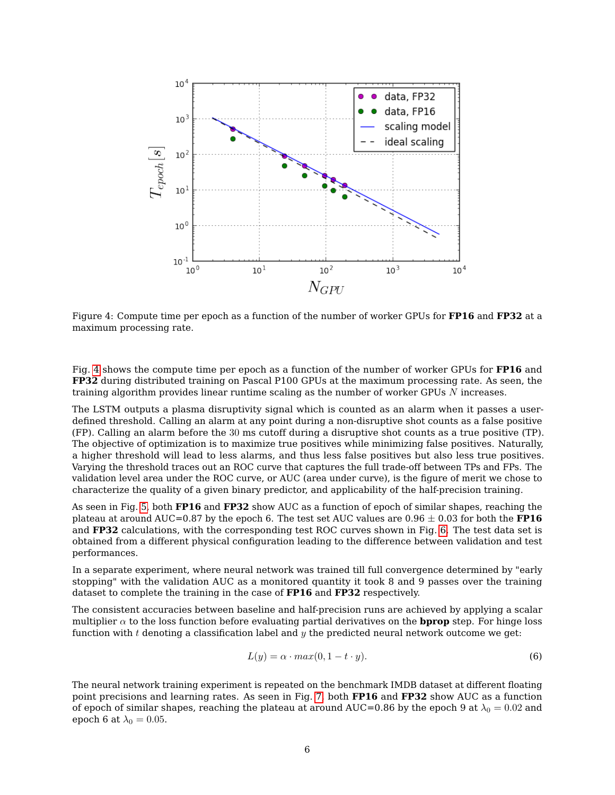

<span id="page-5-0"></span>Figure 4: Compute time per epoch as a function of the number of worker GPUs for **FP16** and **FP32** at a maximum processing rate.

Fig. [4](#page-5-0) shows the compute time per epoch as a function of the number of worker GPUs for **FP16** and **FP32** during distributed training on Pascal P100 GPUs at the maximum processing rate. As seen, the training algorithm provides linear runtime scaling as the number of worker GPUs N increases.

The LSTM outputs a plasma disruptivity signal which is counted as an alarm when it passes a userdefined threshold. Calling an alarm at any point during a non-disruptive shot counts as a false positive (FP). Calling an alarm before the 30 ms cutoff during a disruptive shot counts as a true positive (TP). The objective of optimization is to maximize true positives while minimizing false positives. Naturally, a higher threshold will lead to less alarms, and thus less false positives but also less true positives. Varying the threshold traces out an ROC curve that captures the full trade-off between TPs and FPs. The validation level area under the ROC curve, or AUC (area under curve), is the figure of merit we chose to characterize the quality of a given binary predictor, and applicability of the half-precision training.

As seen in Fig. [5,](#page-6-0) both **FP16** and **FP32** show AUC as a function of epoch of similar shapes, reaching the plateau at around AUC=0.87 by the epoch 6. The test set AUC values are  $0.96 \pm 0.03$  for both the **FP16** and **FP32** calculations, with the corresponding test ROC curves shown in Fig. [6.](#page-6-1) The test data set is obtained from a different physical configuration leading to the difference between validation and test performances.

In a separate experiment, where neural network was trained till full convergence determined by "early stopping" with the validation AUC as a monitored quantity it took 8 and 9 passes over the training dataset to complete the training in the case of **FP16** and **FP32** respectively.

The consistent accuracies between baseline and half-precision runs are achieved by applying a scalar multiplier  $\alpha$  to the loss function before evaluating partial derivatives on the **bprop** step. For hinge loss function with t denoting a classification label and  $y$  the predicted neural network outcome we get:

$$
L(y) = \alpha \cdot \max(0, 1 - t \cdot y). \tag{6}
$$

The neural network training experiment is repeated on the benchmark IMDB dataset at different floating point precisions and learning rates. As seen in Fig. [7,](#page-7-0) both **FP16** and **FP32** show AUC as a function of epoch of similar shapes, reaching the plateau at around AUC=0.86 by the epoch 9 at  $\lambda_0 = 0.02$  and epoch 6 at  $\lambda_0 = 0.05$ .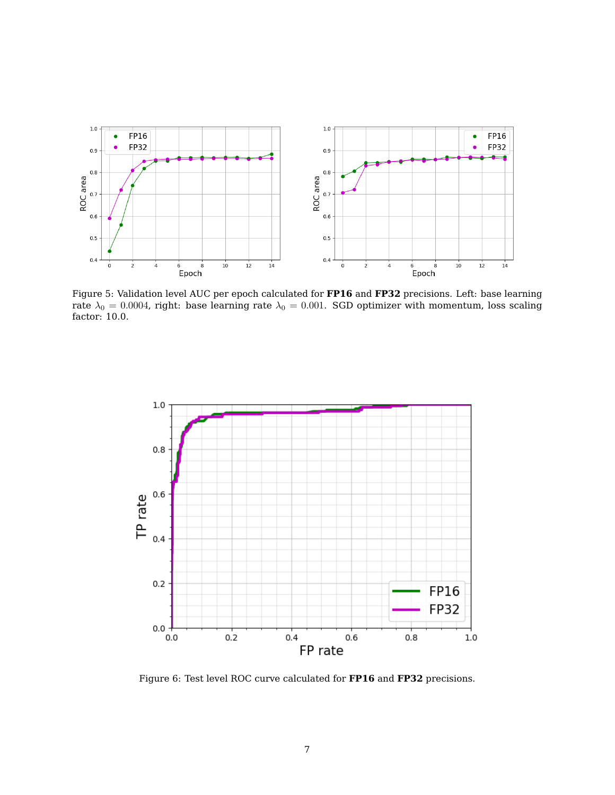

<span id="page-6-0"></span>Figure 5: Validation level AUC per epoch calculated for **FP16** and **FP32** precisions. Left: base learning rate  $\lambda_0 = 0.0004$ , right: base learning rate  $\lambda_0 = 0.001$ . SGD optimizer with momentum, loss scaling factor: 10.0.



<span id="page-6-1"></span>Figure 6: Test level ROC curve calculated for **FP16** and **FP32** precisions.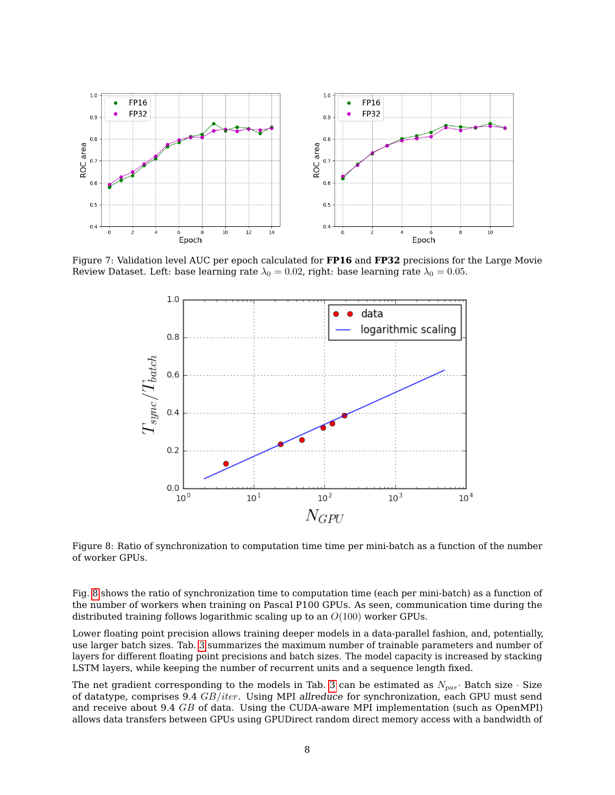

Figure 7: Validation level AUC per epoch calculated for **FP16** and **FP32** precisions for the Large Movie Review Dataset. Left: base learning rate  $\lambda_0 = 0.02$ , right: base learning rate  $\lambda_0 = 0.05$ .

<span id="page-7-0"></span>

<span id="page-7-1"></span>Figure 8: Ratio of synchronization to computation time time per mini-batch as a function of the number of worker GPUs.

Fig. [8](#page-7-1) shows the ratio of synchronization time to computation time (each per mini-batch) as a function of the number of workers when training on Pascal P100 GPUs. As seen, communication time during the distributed training follows logarithmic scaling up to an  $O(100)$  worker GPUs.

Lower floating point precision allows training deeper models in a data-parallel fashion, and, potentially, use larger batch sizes. Tab. [3](#page-10-8) summarizes the maximum number of trainable parameters and number of layers for different floating point precisions and batch sizes. The model capacity is increased by stacking LSTM layers, while keeping the number of recurrent units and a sequence length fixed.

The net gradient corresponding to the models in Tab. [3](#page-10-8) can be estimated as  $N_{par}$ . Batch size  $\cdot$  Size of datatype, comprises  $9.4$   $GB/iter$ . Using MPI allreduce for synchronization, each GPU must send and receive about 9.4 GB of data. Using the CUDA-aware MPI implementation (such as OpenMPI) allows data transfers between GPUs using GPUDirect random direct memory access with a bandwidth of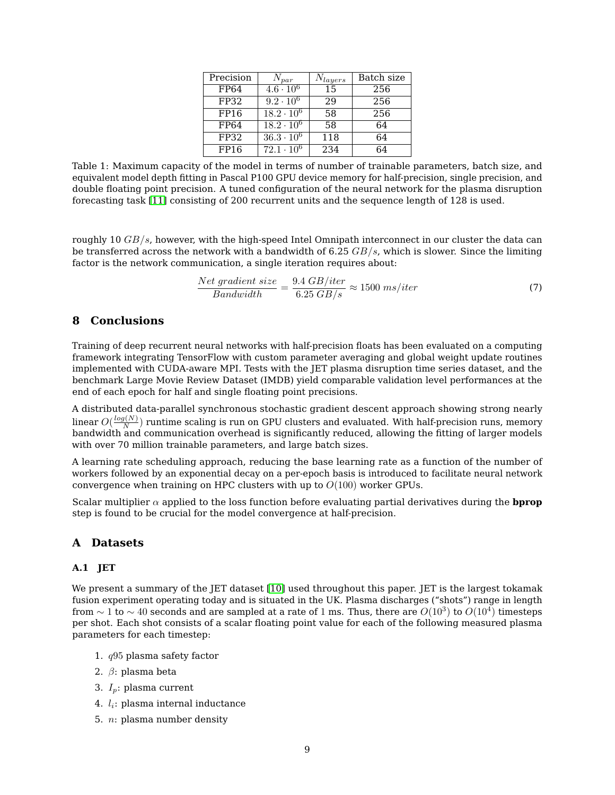| Precision | $N_{par}$                  | $N_{layers}$ | Batch size |
|-----------|----------------------------|--------------|------------|
| FP64      | $\frac{4.6 \cdot 10^6}{ }$ | 15           | 256        |
| FP32      | $9.2 \cdot 10^6$           | 2.9          | 256        |
| FP16      | $18.2 \cdot 10^6$          | 58           | 256        |
| FP64      | $18.2 \cdot 10^6$          | 58           | 64         |
| FP32      | $36.3 \cdot 10^6$          | 118          | 64         |
| FP16      | $72.1 \cdot 10^6$          | 234          | 64         |

Table 1: Maximum capacity of the model in terms of number of trainable parameters, batch size, and equivalent model depth fitting in Pascal P100 GPU device memory for half-precision, single precision, and double floating point precision. A tuned configuration of the neural network for the plasma disruption forecasting task [\[11\]](#page-11-1) consisting of 200 recurrent units and the sequence length of 128 is used.

roughly 10  $GB/s$ , however, with the high-speed Intel Omnipath interconnect in our cluster the data can be transferred across the network with a bandwidth of 6.25  $GB/s$ , which is slower. Since the limiting factor is the network communication, a single iteration requires about:

$$
\frac{Net\ gradient\ size}{Bandwidth} = \frac{9.4\ GB/iter}{6.25\ GB/s} \approx 1500\ ms/iter \tag{7}
$$

## **8 Conclusions**

Training of deep recurrent neural networks with half-precision floats has been evaluated on a computing framework integrating TensorFlow with custom parameter averaging and global weight update routines implemented with CUDA-aware MPI. Tests with the JET plasma disruption time series dataset, and the benchmark Large Movie Review Dataset (IMDB) yield comparable validation level performances at the end of each epoch for half and single floating point precisions.

A distributed data-parallel synchronous stochastic gradient descent approach showing strong nearly linear  $O(\frac{log(N)}{N})$  $\frac{N(N)}{N}$ ) runtime scaling is run on GPU clusters and evaluated. With half-precision runs, memory bandwidth and communication overhead is significantly reduced, allowing the fitting of larger models with over 70 million trainable parameters, and large batch sizes.

A learning rate scheduling approach, reducing the base learning rate as a function of the number of workers followed by an exponential decay on a per-epoch basis is introduced to facilitate neural network convergence when training on HPC clusters with up to  $O(100)$  worker GPUs.

Scalar multiplier  $\alpha$  applied to the loss function before evaluating partial derivatives during the **bprop** step is found to be crucial for the model convergence at half-precision.

#### **A Datasets**

#### <span id="page-8-0"></span>**A.1 JET**

We present a summary of the JET dataset [\[10\]](#page-11-0) used throughout this paper. JET is the largest tokamak fusion experiment operating today and is situated in the UK. Plasma discharges ("shots") range in length from  $\sim 1$  to  $\sim 40$  seconds and are sampled at a rate of 1 ms. Thus, there are  $O(10^3)$  to  $O(10^4)$  timesteps per shot. Each shot consists of a scalar floating point value for each of the following measured plasma parameters for each timestep:

- 1. q95 plasma safety factor
- 2.  $\beta$ : plasma beta
- 3.  $I_p$ : plasma current
- 4.  $l_i$ : plasma internal inductance
- 5. n: plasma number density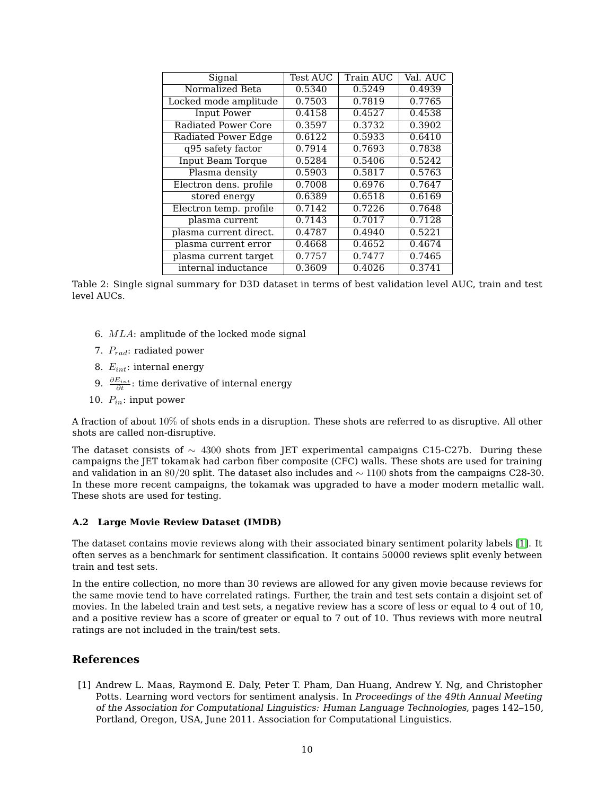| Signal                     | <b>Test AUC</b> | Train AUC | Val. AUC |
|----------------------------|-----------------|-----------|----------|
| Normalized Beta            | 0.5340          | 0.5249    | 0.4939   |
| Locked mode amplitude      | 0.7503          | 0.7819    | 0.7765   |
| <b>Input Power</b>         | 0.4158          | 0.4527    | 0.4538   |
| Radiated Power Core        | 0.3597          | 0.3732    | 0.3902   |
| <b>Radiated Power Edge</b> | 0.6122          | 0.5933    | 0.6410   |
| q95 safety factor          | 0.7914          | 0.7693    | 0.7838   |
| <b>Input Beam Torque</b>   | 0.5284          | 0.5406    | 0.5242   |
| Plasma density             | 0.5903          | 0.5817    | 0.5763   |
| Electron dens. profile     | 0.7008          | 0.6976    | 0.7647   |
| stored energy              | 0.6389          | 0.6518    | 0.6169   |
| Electron temp. profile     | 0.7142          | 0.7226    | 0.7648   |
| plasma current             | 0.7143          | 0.7017    | 0.7128   |
| plasma current direct.     | 0.4787          | 0.4940    | 0.5221   |
| plasma current error       | 0.4668          | 0.4652    | 0.4674   |
| plasma current target      | 0.7757          | 0.7477    | 0.7465   |
| internal inductance        | 0.3609          | 0.4026    | 0.3741   |

Table 2: Single signal summary for D3D dataset in terms of best validation level AUC, train and test level AUCs.

- 6. MLA: amplitude of the locked mode signal
- 7.  $P_{rad}$ : radiated power
- 8.  $E_{int}$ : internal energy
- 9.  $\frac{\partial E_{int}}{\partial t}$ : time derivative of internal energy
- 10.  $P_{in}$ : input power

A fraction of about 10% of shots ends in a disruption. These shots are referred to as disruptive. All other shots are called non-disruptive.

The dataset consists of  $\sim$  4300 shots from JET experimental campaigns C15-C27b. During these campaigns the JET tokamak had carbon fiber composite (CFC) walls. These shots are used for training and validation in an 80/20 split. The dataset also includes and ∼ 1100 shots from the campaigns C28-30. In these more recent campaigns, the tokamak was upgraded to have a moder modern metallic wall. These shots are used for testing.

#### **A.2 Large Movie Review Dataset (IMDB)**

The dataset contains movie reviews along with their associated binary sentiment polarity labels [\[1\]](#page-9-0). It often serves as a benchmark for sentiment classification. It contains 50000 reviews split evenly between train and test sets.

In the entire collection, no more than 30 reviews are allowed for any given movie because reviews for the same movie tend to have correlated ratings. Further, the train and test sets contain a disjoint set of movies. In the labeled train and test sets, a negative review has a score of less or equal to 4 out of 10, and a positive review has a score of greater or equal to 7 out of 10. Thus reviews with more neutral ratings are not included in the train/test sets.

## **References**

<span id="page-9-0"></span>[1] Andrew L. Maas, Raymond E. Daly, Peter T. Pham, Dan Huang, Andrew Y. Ng, and Christopher Potts. Learning word vectors for sentiment analysis. In Proceedings of the 49th Annual Meeting of the Association for Computational Linguistics: Human Language Technologies, pages 142–150, Portland, Oregon, USA, June 2011. Association for Computational Linguistics.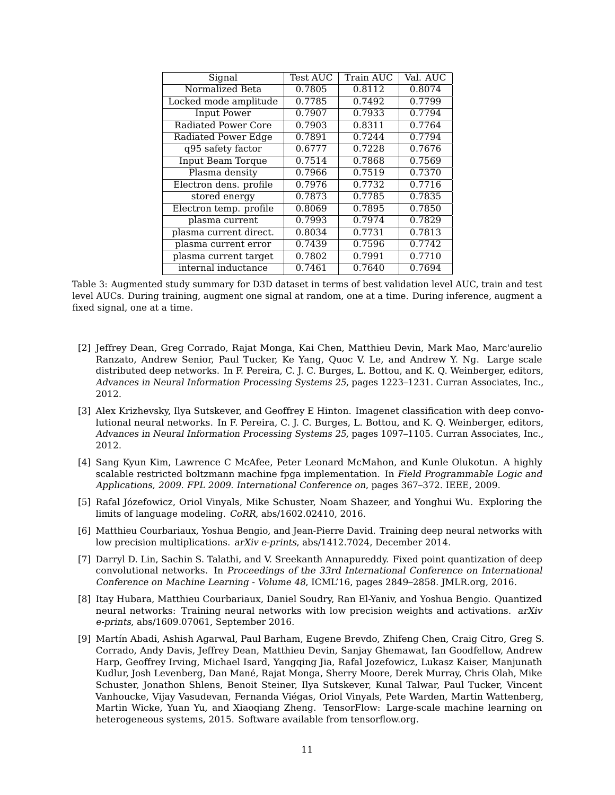| Signal                     | <b>Test AUC</b> | Train AUC | Val. AUC |
|----------------------------|-----------------|-----------|----------|
| Normalized Beta            | 0.7805          | 0.8112    | 0.8074   |
| Locked mode amplitude      | 0.7785          | 0.7492    | 0.7799   |
| <b>Input Power</b>         | 0.7907          | 0.7933    | 0.7794   |
| <b>Radiated Power Core</b> | 0.7903          | 0.8311    | 0.7764   |
| <b>Radiated Power Edge</b> | 0.7891          | 0.7244    | 0.7794   |
| q95 safety factor          | 0.6777          | 0.7228    | 0.7676   |
| Input Beam Torque          | 0.7514          | 0.7868    | 0.7569   |
| Plasma density             | 0.7966          | 0.7519    | 0.7370   |
| Electron dens. profile     | 0.7976          | 0.7732    | 0.7716   |
| stored energy              | 0.7873          | 0.7785    | 0.7835   |
| Electron temp. profile     | 0.8069          | 0.7895    | 0.7850   |
| plasma current             | 0.7993          | 0.7974    | 0.7829   |
| plasma current direct.     | 0.8034          | 0.7731    | 0.7813   |
| plasma current error       | 0.7439          | 0.7596    | 0.7742   |
| plasma current target      | 0.7802          | 0.7991    | 0.7710   |
| internal inductance        | 0.7461          | 0.7640    | 0.7694   |

<span id="page-10-8"></span>Table 3: Augmented study summary for D3D dataset in terms of best validation level AUC, train and test level AUCs. During training, augment one signal at random, one at a time. During inference, augment a fixed signal, one at a time.

- <span id="page-10-0"></span>[2] Jeffrey Dean, Greg Corrado, Rajat Monga, Kai Chen, Matthieu Devin, Mark Mao, Marc'aurelio Ranzato, Andrew Senior, Paul Tucker, Ke Yang, Quoc V. Le, and Andrew Y. Ng. Large scale distributed deep networks. In F. Pereira, C. J. C. Burges, L. Bottou, and K. Q. Weinberger, editors, Advances in Neural Information Processing Systems 25, pages 1223–1231. Curran Associates, Inc., 2012.
- <span id="page-10-1"></span>[3] Alex Krizhevsky, Ilya Sutskever, and Geoffrey E Hinton. Imagenet classification with deep convolutional neural networks. In F. Pereira, C. J. C. Burges, L. Bottou, and K. Q. Weinberger, editors, Advances in Neural Information Processing Systems 25, pages 1097–1105. Curran Associates, Inc., 2012.
- <span id="page-10-2"></span>[4] Sang Kyun Kim, Lawrence C McAfee, Peter Leonard McMahon, and Kunle Olukotun. A highly scalable restricted boltzmann machine fpga implementation. In Field Programmable Logic and Applications, 2009. FPL 2009. International Conference on, pages 367–372. IEEE, 2009.
- <span id="page-10-3"></span>[5] Rafal Józefowicz, Oriol Vinyals, Mike Schuster, Noam Shazeer, and Yonghui Wu. Exploring the limits of language modeling. CoRR, abs/1602.02410, 2016.
- <span id="page-10-4"></span>[6] Matthieu Courbariaux, Yoshua Bengio, and Jean-Pierre David. Training deep neural networks with low precision multiplications. arXiv e-prints, abs/1412.7024, December 2014.
- <span id="page-10-5"></span>[7] Darryl D. Lin, Sachin S. Talathi, and V. Sreekanth Annapureddy. Fixed point quantization of deep convolutional networks. In Proceedings of the 33rd International Conference on International Conference on Machine Learning - Volume 48, ICML'16, pages 2849–2858. JMLR.org, 2016.
- <span id="page-10-6"></span>[8] Itay Hubara, Matthieu Courbariaux, Daniel Soudry, Ran El-Yaniv, and Yoshua Bengio. Quantized neural networks: Training neural networks with low precision weights and activations. arXiv e-prints, abs/1609.07061, September 2016.
- <span id="page-10-7"></span>[9] Martín Abadi, Ashish Agarwal, Paul Barham, Eugene Brevdo, Zhifeng Chen, Craig Citro, Greg S. Corrado, Andy Davis, Jeffrey Dean, Matthieu Devin, Sanjay Ghemawat, Ian Goodfellow, Andrew Harp, Geoffrey Irving, Michael Isard, Yangqing Jia, Rafal Jozefowicz, Lukasz Kaiser, Manjunath Kudlur, Josh Levenberg, Dan Mané, Rajat Monga, Sherry Moore, Derek Murray, Chris Olah, Mike Schuster, Jonathon Shlens, Benoit Steiner, Ilya Sutskever, Kunal Talwar, Paul Tucker, Vincent Vanhoucke, Vijay Vasudevan, Fernanda Viégas, Oriol Vinyals, Pete Warden, Martin Wattenberg, Martin Wicke, Yuan Yu, and Xiaoqiang Zheng. TensorFlow: Large-scale machine learning on heterogeneous systems, 2015. Software available from tensorflow.org.